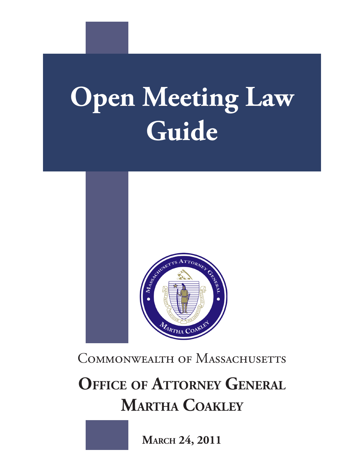# **Open Meeting Law Guide**



COMMONWEALTH OF MASSACHUSETTS

**OFFICE OF ATTORNEY GENERAL Martha Coakley**

**March 24, 2011**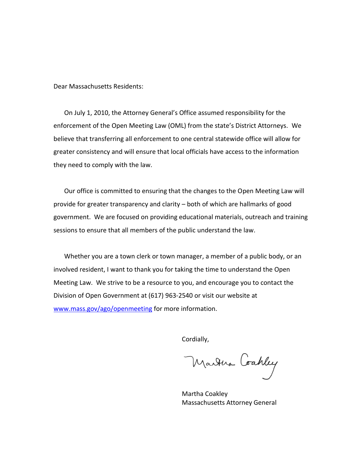Dear Massachusetts Residents:

On July 1, 2010, the Attorney General's Office assumed responsibility for the enforcement of the Open Meeting Law (OML) from the state's District Attorneys. We believe that transferring all enforcement to one central statewide office will allow for greater consistency and will ensure that local officials have access to the information they need to comply with the law.

Our office is committed to ensuring that the changes to the Open Meeting Law will provide for greater transparency and clarity – both of which are hallmarks of good government. We are focused on providing educational materials, outreach and training sessions to ensure that all members of the public understand the law.

Whether you are a town clerk or town manager, a member of a public body, or an involved resident, I want to thank you for taking the time to understand the Open Meeting Law. We strive to be a resource to you, and encourage you to contact the Division of Open Government at (617) 963-2540 or visit our website at [www.mass.gov/ago/openmeeting](http://www.mass.gov/ago/openmeeting) for more information.

Cordially,

Martina Coahley

Martha Coakley Massachusetts Attorney General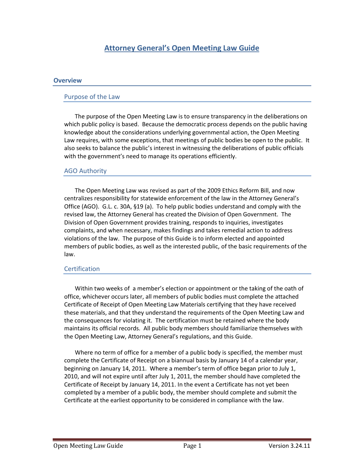# **Attorney General's Open Meeting Law Guide**

#### **Overview**

#### Purpose of the Law

The purpose of the Open Meeting Law is to ensure transparency in the deliberations on which public policy is based. Because the democratic process depends on the public having knowledge about the considerations underlying governmental action, the Open Meeting Law requires, with some exceptions, that meetings of public bodies be open to the public. It also seeks to balance the public's interest in witnessing the deliberations of public officials with the government's need to manage its operations efficiently.

#### AGO Authority

The Open Meeting Law was revised as part of the 2009 Ethics Reform Bill, and now centralizes responsibility for statewide enforcement of the law in the Attorney General's Office (AGO). G.L. c. 30A, §19 (a). To help public bodies understand and comply with the revised law, the Attorney General has created the Division of Open Government. The Division of Open Government provides training, responds to inquiries, investigates complaints, and when necessary, makes findings and takes remedial action to address violations of the law. The purpose of this Guide is to inform elected and appointed members of public bodies, as well as the interested public, of the basic requirements of the law.

#### **Certification**

Within two weeks of a member's election or appointment or the taking of the oath of office, whichever occurs later, all members of public bodies must complete the attached Certificate of Receipt of Open Meeting Law Materials certifying that they have received these materials, and that they understand the requirements of the Open Meeting Law and the consequences for violating it. The certification must be retained where the body maintains its official records. All public body members should familiarize themselves with the Open Meeting Law, Attorney General's regulations, and this Guide.

Where no term of office for a member of a public body is specified, the member must complete the Certificate of Receipt on a biannual basis by January 14 of a calendar year, beginning on January 14, 2011. Where a member's term of office began prior to July 1, 2010, and will not expire until after July 1, 2011, the member should have completed the Certificate of Receipt by January 14, 2011. In the event a Certificate has not yet been completed by a member of a public body, the member should complete and submit the Certificate at the earliest opportunity to be considered in compliance with the law.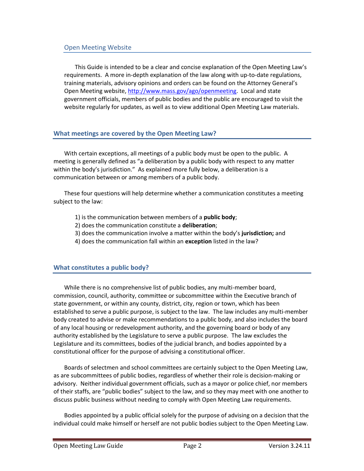This Guide is intended to be a clear and concise explanation of the Open Meeting Law's requirements. A more in-depth explanation of the law along with up-to-date regulations, training materials, advisory opinions and orders can be found on the Attorney General's Open Meeting website, [http://www.mass.gov/ago/openmeeting.](http://www.mass.gov/ago/openmeeting) Local and state government officials, members of public bodies and the public are encouraged to visit the website regularly for updates, as well as to view additional Open Meeting Law materials.

# **What meetings are covered by the Open Meeting Law?**

With certain exceptions, all meetings of a public body must be open to the public. A meeting is generally defined as "a deliberation by a public body with respect to any matter within the body's jurisdiction." As explained more fully below, a deliberation is a communication between or among members of a public body.

These four questions will help determine whether a communication constitutes a meeting subject to the law:

- 1) is the communication between members of a **public body**;
- 2) does the communication constitute a **deliberation**;
- 3) does the communication involve a matter within the body's **jurisdiction;** and
- 4) does the communication fall within an **exception** listed in the law?

# **What constitutes a public body?**

While there is no comprehensive list of public bodies, any multi-member board, commission, council, authority, committee or subcommittee within the Executive branch of state government, or within any county, district, city, region or town, which has been established to serve a public purpose, is subject to the law. The law includes any multi-member body created to advise or make recommendations to a public body, and also includes the board of any local housing or redevelopment authority, and the governing board or body of any authority established by the Legislature to serve a public purpose. The law excludes the Legislature and its committees, bodies of the judicial branch, and bodies appointed by a constitutional officer for the purpose of advising a constitutional officer.

Boards of selectmen and school committees are certainly subject to the Open Meeting Law, as are subcommittees of public bodies, regardless of whether their role is decision-making or advisory. Neither individual government officials, such as a mayor or police chief, nor members of their staffs, are "public bodies" subject to the law, and so they may meet with one another to discuss public business without needing to comply with Open Meeting Law requirements.

Bodies appointed by a public official solely for the purpose of advising on a decision that the individual could make himself or herself are not public bodies subject to the Open Meeting Law.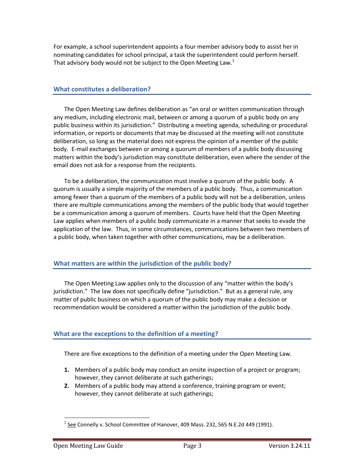For example, a school superintendent appoints a four member advisory body to assist her in nominating candidates for school principal, a task the superintendent could perform herself. That advisory body would not be subject to the Open Meeting Law.<sup>1</sup>

#### **What constitutes a deliberation?**

The Open Meeting Law defines deliberation as "an oral or written communication through any medium, including electronic mail, between or among a quorum of a public body on any public business within its jurisdiction." Distributing a meeting agenda, scheduling or procedural information, or reports or documents that may be discussed at the meeting will not constitute deliberation, so long as the material does not express the opinion of a member of the public body. E-mail exchanges between or among a quorum of members of a public body discussing matters within the body's jurisdiction may constitute deliberation, even where the sender of the email does not ask for a response from the recipients.

To be a deliberation, the communication must involve a quorum of the public body. A quorum is usually a simple majority of the members of a public body. Thus, a communication among fewer than a quorum of the members of a public body will not be a deliberation, unless there are multiple communications among the members of the public body that would together be a communication among a quorum of members. Courts have held that the Open Meeting Law applies when members of a public body communicate in a manner that seeks to evade the application of the law. Thus, in some circumstances, communications between two members of a public body, when taken together with other communications, may be a deliberation.

## **What matters are within the jurisdiction of the public body?**

The Open Meeting Law applies only to the discussion of any "matter within the body's jurisdiction." The law does not specifically define "jurisdiction." But as a general rule, any matter of public business on which a quorum of the public body may make a decision or recommendation would be considered a matter within the jurisdiction of the public body.

# **What are the exceptions to the definition of a meeting?**

There are five exceptions to the definition of a meeting under the Open Meeting Law.

- **1.** Members of a public body may conduct an onsite inspection of a project or program; however, they cannot deliberate at such gatherings;
- **2.** Members of a public body may attend a conference, training program or event; however, they cannot deliberate at such gatherings;

 $\overline{\phantom{a}}$  $^1$  See Connelly v. School Committee of Hanover, 409 Mass. 232, 565 N.E.2d 449 (1991).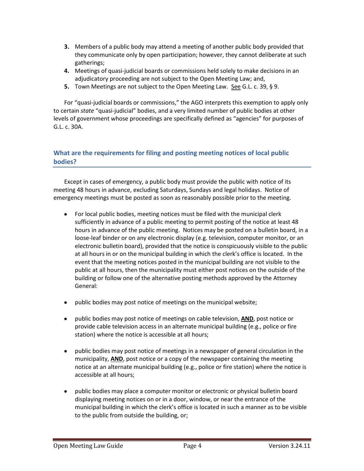- **3.** Members of a public body may attend a meeting of another public body provided that they communicate only by open participation; however, they cannot deliberate at such gatherings;
- **4.** Meetings of quasi-judicial boards or commissions held solely to make decisions in an adjudicatory proceeding are not subject to the Open Meeting Law; and,
- **5.** Town Meetings are not subject to the Open Meeting Law. See G.L. c. 39, § 9.

For "quasi-judicial boards or commissions," the AGO interprets this exemption to apply only to certain *state* "quasi-judicial" bodies, and a very limited number of public bodies at other levels of government whose proceedings are specifically defined as "agencies" for purposes of G.L. c. 30A.

# **What are the requirements for filing and posting meeting notices of local public bodies?**

Except in cases of emergency, a public body must provide the public with notice of its meeting 48 hours in advance, excluding Saturdays, Sundays and legal holidays. Notice of emergency meetings must be posted as soon as reasonably possible prior to the meeting.

- For local public bodies, meeting notices must be filed with the municipal clerk  $\bullet$ sufficiently in advance of a public meeting to permit posting of the notice at least 48 hours in advance of the public meeting. Notices may be posted on a bulletin board, in a loose-leaf binder or on any electronic display (e.g. television, computer monitor, or an electronic bulletin board), provided that the notice is conspicuously visible to the public at all hours in or on the municipal building in which the clerk's office is located. In the event that the meeting notices posted in the municipal building are not visible to the public at all hours, then the municipality must either post notices on the outside of the building or follow one of the alternative posting methods approved by the Attorney General:
- public bodies may post notice of meetings on the municipal website;
- $\bullet$ public bodies may post notice of meetings on cable television, **AND**, post notice or provide cable television access in an alternate municipal building (e.g., police or fire station) where the notice is accessible at all hours;
- public bodies may post notice of meetings in a newspaper of general circulation in the  $\bullet$ municipality, **AND**, post notice or a copy of the newspaper containing the meeting notice at an alternate municipal building (e.g., police or fire station) where the notice is accessible at all hours;
- public bodies may place a computer monitor or electronic or physical bulletin board displaying meeting notices on or in a door, window, or near the entrance of the municipal building in which the clerk's office is located in such a manner as to be visible to the public from outside the building, or;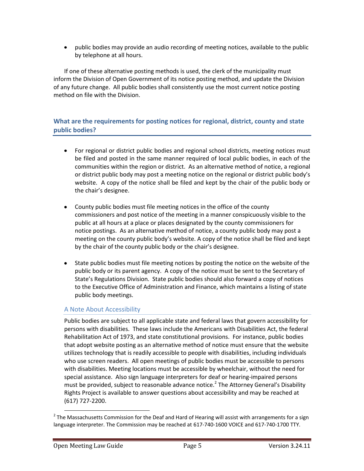public bodies may provide an audio recording of meeting notices, available to the public by telephone at all hours.

If one of these alternative posting methods is used, the clerk of the municipality must inform the Division of Open Government of its notice posting method, and update the Division of any future change. All public bodies shall consistently use the most current notice posting method on file with the Division.

# **What are the requirements for posting notices for regional, district, county and state public bodies?**

- For regional or district public bodies and regional school districts, meeting notices must be filed and posted in the same manner required of local public bodies, in each of the communities within the region or district. As an alternative method of notice, a regional or district public body may post a meeting notice on the regional or district public body's website. A copy of the notice shall be filed and kept by the chair of the public body or the chair's designee.
- County public bodies must file meeting notices in the office of the county commissioners and post notice of the meeting in a manner conspicuously visible to the public at all hours at a place or places designated by the county commissioners for notice postings. As an alternative method of notice, a county public body may post a meeting on the county public body's website. A copy of the notice shall be filed and kept by the chair of the county public body or the chair's designee.
- $\bullet$ State public bodies must file meeting notices by posting the notice on the website of the public body or its parent agency. A copy of the notice must be sent to the Secretary of State's Regulations Division. State public bodies should also forward a copy of notices to the Executive Office of Administration and Finance, which maintains a listing of state public body meetings.

# A Note About Accessibility

Public bodies are subject to all applicable state and federal laws that govern accessibility for persons with disabilities. These laws include the Americans with Disabilities Act, the federal Rehabilitation Act of 1973, and state constitutional provisions. For instance, public bodies that adopt website posting as an alternative method of notice must ensure that the website utilizes technology that is readily accessible to people with disabilities, including individuals who use screen readers. All open meetings of public bodies must be accessible to persons with disabilities. Meeting locations must be accessible by wheelchair, without the need for special assistance. Also sign language interpreters for deaf or hearing-impaired persons must be provided, subject to reasonable advance notice.<sup>2</sup> The Attorney General's Disability Rights Project is available to answer questions about accessibility and may be reached at (617) 727-2200.

l  $2$  The Massachusetts Commission for the Deaf and Hard of Hearing will assist with arrangements for a sign language interpreter. The Commission may be reached at 617-740-1600 VOICE and 617-740-1700 TTY.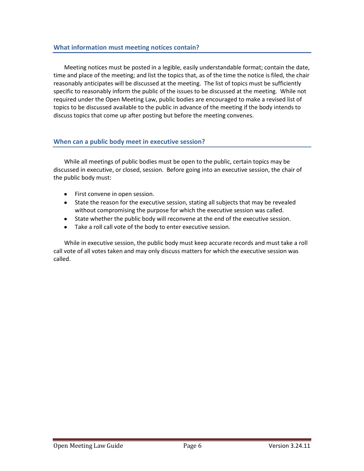Meeting notices must be posted in a legible, easily understandable format; contain the date, time and place of the meeting; and list the topics that, as of the time the notice is filed, the chair reasonably anticipates will be discussed at the meeting. The list of topics must be sufficiently specific to reasonably inform the public of the issues to be discussed at the meeting. While not required under the Open Meeting Law, public bodies are encouraged to make a revised list of topics to be discussed available to the public in advance of the meeting if the body intends to discuss topics that come up after posting but before the meeting convenes.

## **When can a public body meet in executive session?**

While all meetings of public bodies must be open to the public, certain topics may be discussed in executive, or closed, session. Before going into an executive session, the chair of the public body must:

- First convene in open session.  $\bullet$
- State the reason for the executive session, stating all subjects that may be revealed without compromising the purpose for which the executive session was called.
- State whether the public body will reconvene at the end of the executive session.
- Take a roll call vote of the body to enter executive session.

While in executive session, the public body must keep accurate records and must take a roll call vote of all votes taken and may only discuss matters for which the executive session was called.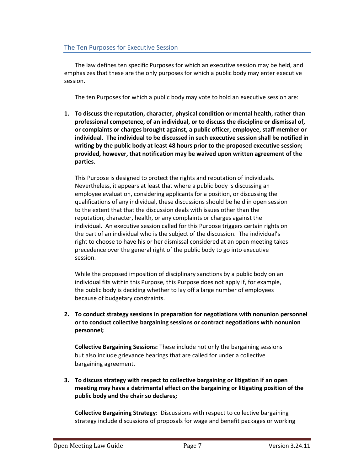# The Ten Purposes for Executive Session

The law defines ten specific Purposes for which an executive session may be held, and emphasizes that these are the only purposes for which a public body may enter executive session.

The ten Purposes for which a public body may vote to hold an executive session are:

**1. To discuss the reputation, character, physical condition or mental health, rather than professional competence, of an individual, or to discuss the discipline or dismissal of, or complaints or charges brought against, a public officer, employee, staff member or individual. The individual to be discussed in such executive session shall be notified in writing by the public body at least 48 hours prior to the proposed executive session; provided, however, that notification may be waived upon written agreement of the parties.** 

This Purpose is designed to protect the rights and reputation of individuals. Nevertheless, it appears at least that where a public body is discussing an employee evaluation, considering applicants for a position, or discussing the qualifications of any individual, these discussions should be held in open session to the extent that that the discussion deals with issues other than the reputation, character, health, or any complaints or charges against the individual. An executive session called for this Purpose triggers certain rights on the part of an individual who is the subject of the discussion. The individual's right to choose to have his or her dismissal considered at an open meeting takes precedence over the general right of the public body to go into executive session.

While the proposed imposition of disciplinary sanctions by a public body on an individual fits within this Purpose, this Purpose does not apply if, for example, the public body is deciding whether to lay off a large number of employees because of budgetary constraints.

**2. To conduct strategy sessions in preparation for negotiations with nonunion personnel or to conduct collective bargaining sessions or contract negotiations with nonunion personnel;**

**Collective Bargaining Sessions:** These include not only the bargaining sessions but also include grievance hearings that are called for under a collective bargaining agreement.

**3. To discuss strategy with respect to collective bargaining or litigation if an open meeting may have a detrimental effect on the bargaining or litigating position of the public body and the chair so declares;**

**Collective Bargaining Strategy:** Discussions with respect to collective bargaining strategy include discussions of proposals for wage and benefit packages or working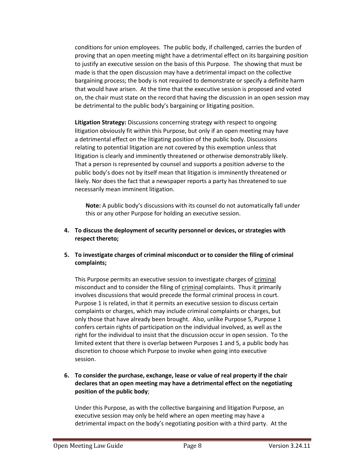conditions for union employees. The public body, if challenged, carries the burden of proving that an open meeting might have a detrimental effect on its bargaining position to justify an executive session on the basis of this Purpose. The showing that must be made is that the open discussion may have a detrimental impact on the collective bargaining process; the body is not required to demonstrate or specify a definite harm that would have arisen. At the time that the executive session is proposed and voted on, the chair must state on the record that having the discussion in an open session may be detrimental to the public body's bargaining or litigating position.

**Litigation Strategy:** Discussions concerning strategy with respect to ongoing litigation obviously fit within this Purpose, but only if an open meeting may have a detrimental effect on the litigating position of the public body. Discussions relating to potential litigation are not covered by this exemption unless that litigation is clearly and imminently threatened or otherwise demonstrably likely. That a person is represented by counsel and supports a position adverse to the public body's does not by itself mean that litigation is imminently threatened or likely. Nor does the fact that a newspaper reports a party has threatened to sue necessarily mean imminent litigation.

**Note:** A public body's discussions with its counsel do not automatically fall under this or any other Purpose for holding an executive session.

- **4. To discuss the deployment of security personnel or devices, or strategies with respect thereto;**
- **5. To investigate charges of criminal misconduct or to consider the filing of criminal complaints;**

This Purpose permits an executive session to investigate charges of criminal misconduct and to consider the filing of criminal complaints. Thus it primarily involves discussions that would precede the formal criminal process in court. Purpose 1 is related, in that it permits an executive session to discuss certain complaints or charges, which may include criminal complaints or charges, but only those that have already been brought. Also, unlike Purpose 5, Purpose 1 confers certain rights of participation on the individual involved, as well as the right for the individual to insist that the discussion occur in open session. To the limited extent that there is overlap between Purposes 1 and 5, a public body has discretion to choose which Purpose to invoke when going into executive session.

**6. To consider the purchase, exchange, lease or value of real property if the chair declares that an open meeting may have a detrimental effect on the negotiating position of the public body**;

Under this Purpose, as with the collective bargaining and litigation Purpose, an executive session may only be held where an open meeting may have a detrimental impact on the body's negotiating position with a third party. At the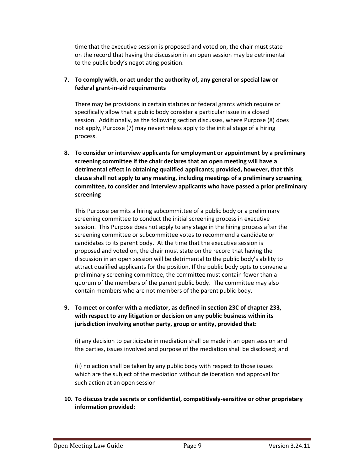time that the executive session is proposed and voted on, the chair must state on the record that having the discussion in an open session may be detrimental to the public body's negotiating position.

# **7. To comply with, or act under the authority of, any general or special law or federal grant-in-aid requirements**

There may be provisions in certain statutes or federal grants which require or specifically allow that a public body consider a particular issue in a closed session. Additionally, as the following section discusses, where Purpose (8) does not apply, Purpose (7) may nevertheless apply to the initial stage of a hiring process.

**8. To consider or interview applicants for employment or appointment by a preliminary screening committee if the chair declares that an open meeting will have a detrimental effect in obtaining qualified applicants; provided, however, that this clause shall not apply to any meeting, including meetings of a preliminary screening committee, to consider and interview applicants who have passed a prior preliminary screening**

This Purpose permits a hiring subcommittee of a public body or a preliminary screening committee to conduct the initial screening process in executive session. This Purpose does not apply to any stage in the hiring process after the screening committee or subcommittee votes to recommend a candidate or candidates to its parent body. At the time that the executive session is proposed and voted on, the chair must state on the record that having the discussion in an open session will be detrimental to the public body's ability to attract qualified applicants for the position. If the public body opts to convene a preliminary screening committee, the committee must contain fewer than a quorum of the members of the parent public body. The committee may also contain members who are not members of the parent public body.

**9. To meet or confer with a mediator, as defined in section 23C of chapter 233, with respect to any litigation or decision on any public business within its jurisdiction involving another party, group or entity, provided that:**

(i) any decision to participate in mediation shall be made in an open session and the parties, issues involved and purpose of the mediation shall be disclosed; and

(ii) no action shall be taken by any public body with respect to those issues which are the subject of the mediation without deliberation and approval for such action at an open session

## **10. To discuss trade secrets or confidential, competitively-sensitive or other proprietary information provided:**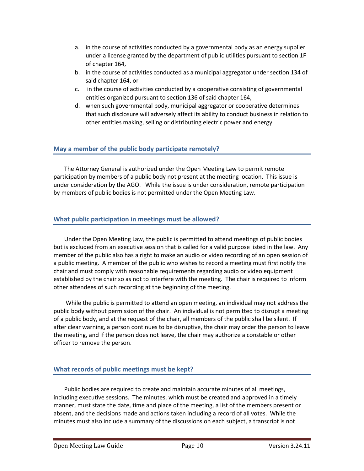- a. in the course of activities conducted by a governmental body as an energy supplier under a license granted by the department of public utilities pursuant to section 1F of chapter 164,
- b. in the course of activities conducted as a municipal aggregator under section 134 of said chapter 164, or
- c. in the course of activities conducted by a cooperative consisting of governmental entities organized pursuant to section 136 of said chapter 164,
- d. when such governmental body, municipal aggregator or cooperative determines that such disclosure will adversely affect its ability to conduct business in relation to other entities making, selling or distributing electric power and energy

# **May a member of the public body participate remotely?**

The Attorney General is authorized under the Open Meeting Law to permit remote participation by members of a public body not present at the meeting location. This issue is under consideration by the AGO. While the issue is under consideration, remote participation by members of public bodies is not permitted under the Open Meeting Law.

## **What public participation in meetings must be allowed?**

Under the Open Meeting Law, the public is permitted to attend meetings of public bodies but is excluded from an executive session that is called for a valid purpose listed in the law. Any member of the public also has a right to make an audio or video recording of an open session of a public meeting. A member of the public who wishes to record a meeting must first notify the chair and must comply with reasonable requirements regarding audio or video equipment established by the chair so as not to interfere with the meeting. The chair is required to inform other attendees of such recording at the beginning of the meeting.

While the public is permitted to attend an open meeting, an individual may not address the public body without permission of the chair. An individual is not permitted to disrupt a meeting of a public body, and at the request of the chair, all members of the public shall be silent. If after clear warning, a person continues to be disruptive, the chair may order the person to leave the meeting, and if the person does not leave, the chair may authorize a constable or other officer to remove the person.

# **What records of public meetings must be kept?**

Public bodies are required to create and maintain accurate minutes of all meetings, including executive sessions. The minutes, which must be created and approved in a timely manner, must state the date, time and place of the meeting, a list of the members present or absent, and the decisions made and actions taken including a record of all votes. While the minutes must also include a summary of the discussions on each subject, a transcript is not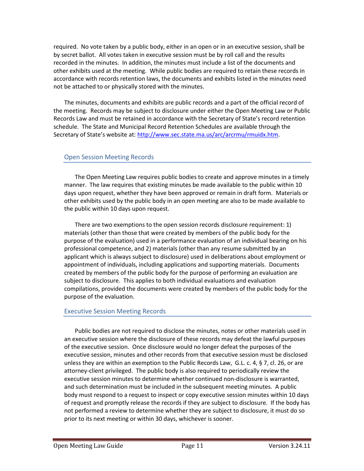required. No vote taken by a public body, either in an open or in an executive session, shall be by secret ballot. All votes taken in executive session must be by roll call and the results recorded in the minutes. In addition, the minutes must include a list of the documents and other exhibits used at the meeting. While public bodies are required to retain these records in accordance with records retention laws, the documents and exhibits listed in the minutes need not be attached to or physically stored with the minutes.

The minutes, documents and exhibits are public records and a part of the official record of the meeting. Records may be subject to disclosure under either the Open Meeting Law or Public Records Law and must be retained in accordance with the Secretary of State's record retention schedule. The State and Municipal Record Retention Schedules are available through the Secretary of State's website at: [http://www.sec.state.ma.us/arc/arcrmu/rmuidx.htm.](http://www.sec.state.ma.us/arc/arcrmu/rmuidx.htm)

## Open Session Meeting Records

The Open Meeting Law requires public bodies to create and approve minutes in a timely manner. The law requires that existing minutes be made available to the public within 10 days upon request, whether they have been approved or remain in draft form. Materials or other exhibits used by the public body in an open meeting are also to be made available to the public within 10 days upon request.

There are two exemptions to the open session records disclosure requirement: 1) materials (other than those that were created by members of the public body for the purpose of the evaluation) used in a performance evaluation of an individual bearing on his professional competence, and 2) materials (other than any resume submitted by an applicant which is always subject to disclosure) used in deliberations about employment or appointment of individuals, including applications and supporting materials. Documents created by members of the public body for the purpose of performing an evaluation are subject to disclosure. This applies to both individual evaluations and evaluation compilations, provided the documents were created by members of the public body for the purpose of the evaluation.

#### Executive Session Meeting Records

Public bodies are not required to disclose the minutes, notes or other materials used in an executive session where the disclosure of these records may defeat the lawful purposes of the executive session. Once disclosure would no longer defeat the purposes of the executive session, minutes and other records from that executive session must be disclosed unless they are within an exemption to the Public Records Law, G.L. c. 4, § 7, cl. 26, or are attorney-client privileged. The public body is also required to periodically review the executive session minutes to determine whether continued non-disclosure is warranted, and such determination must be included in the subsequent meeting minutes. A public body must respond to a request to inspect or copy executive session minutes within 10 days of request and promptly release the records if they are subject to disclosure. If the body has not performed a review to determine whether they are subject to disclosure, it must do so prior to its next meeting or within 30 days, whichever is sooner.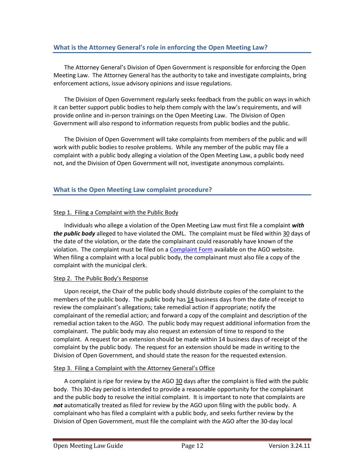# **What is the Attorney General's role in enforcing the Open Meeting Law?**

The Attorney General's Division of Open Government is responsible for enforcing the Open Meeting Law. The Attorney General has the authority to take and investigate complaints, bring enforcement actions, issue advisory opinions and issue regulations.

The Division of Open Government regularly seeks feedback from the public on ways in which it can better support public bodies to help them comply with the law's requirements, and will provide online and in-person trainings on the Open Meeting Law. The Division of Open Government will also respond to information requests from public bodies and the public.

The Division of Open Government will take complaints from members of the public and will work with public bodies to resolve problems. While any member of the public may file a complaint with a public body alleging a violation of the Open Meeting Law, a public body need not, and the Division of Open Government will not, investigate anonymous complaints.

# **What is the Open Meeting Law complaint procedure?**

#### Step 1. Filing a Complaint with the Public Body

Individuals who allege a violation of the Open Meeting Law must first file a complaint *with the public body* alleged to have violated the OML. The complaint must be filed within 30 days of the date of the violation, or the date the complainant could reasonably have known of the violation. The complaint must be filed on a [Complaint Form](http://www.mass.gov/Cago/docs/Government/AGO_Open_Meeting_Law_Complaint_Form.pdf) available on the AGO website. When filing a complaint with a local public body, the complainant must also file a copy of the complaint with the municipal clerk.

#### Step 2. The Public Body's Response

Upon receipt, the Chair of the public body should distribute copies of the complaint to the members of the public body. The public body has 14 business days from the date of receipt to review the complainant's allegations; take remedial action if appropriate; notify the complainant of the remedial action; and forward a copy of the complaint and description of the remedial action taken to the AGO. The public body may request additional information from the complainant. The public body may also request an extension of time to respond to the complaint. A request for an extension should be made within 14 business days of receipt of the complaint by the public body. The request for an extension should be made in writing to the Division of Open Government, and should state the reason for the requested extension.

#### Step 3. Filing a Complaint with the Attorney General's Office

A complaint is ripe for review by the AGO 30 days after the complaint is filed with the public body. This 30-day period is intended to provide a reasonable opportunity for the complainant and the public body to resolve the initial complaint. It is important to note that complaints are *not* automatically treated as filed for review by the AGO upon filing with the public body. A complainant who has filed a complaint with a public body, and seeks further review by the Division of Open Government, must file the complaint with the AGO after the 30-day local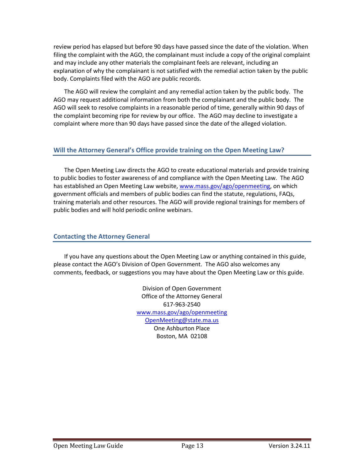review period has elapsed but before 90 days have passed since the date of the violation. When filing the complaint with the AGO, the complainant must include a copy of the original complaint and may include any other materials the complainant feels are relevant, including an explanation of why the complainant is not satisfied with the remedial action taken by the public body. Complaints filed with the AGO are public records.

The AGO will review the complaint and any remedial action taken by the public body. The AGO may request additional information from both the complainant and the public body. The AGO will seek to resolve complaints in a reasonable period of time, generally within 90 days of the complaint becoming ripe for review by our office. The AGO may decline to investigate a complaint where more than 90 days have passed since the date of the alleged violation.

## **Will the Attorney General's Office provide training on the Open Meeting Law?**

The Open Meeting Law directs the AGO to create educational materials and provide training to public bodies to foster awareness of and compliance with the Open Meeting Law. The AGO has established an Open Meeting Law website, [www.mass.gov/ago/openmeeting,](http://www.mass.gov/ago/openmeeting) on which government officials and members of public bodies can find the statute, regulations, FAQs, training materials and other resources. The AGO will provide regional trainings for members of public bodies and will hold periodic online webinars.

#### **Contacting the Attorney General**

If you have any questions about the Open Meeting Law or anything contained in this guide, please contact the AGO's Division of Open Government. The AGO also welcomes any comments, feedback, or suggestions you may have about the Open Meeting Law or this guide.

> Division of Open Government Office of the Attorney General 617-963-2540 [www.mass.gov/ago/openmeeting](http://www.mass.gov/ago/openmeeting) [OpenMeeting@state.ma.us](mailto:OpenMeeting@state.ma.us) One Ashburton Place Boston, MA 02108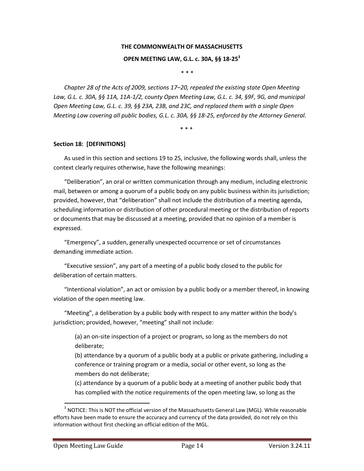# **THE COMMONWEALTH OF MASSACHUSETTS**

#### **OPEN MEETING LAW, G.L. c. 30A, §§ 18-25<sup>3</sup>**

\* \* \*

*Chapter 28 of the Acts of 2009, sections 17–20, repealed the existing state Open Meeting Law, G.L. c. 30A, §§ 11A, 11A-1/2, county Open Meeting Law, G.L. c. 34, §9F, 9G, and municipal Open Meeting Law, G.L. c. 39, §§ 23A, 23B, and 23C, and replaced them with a single Open Meeting Law covering all public bodies, G.L. c. 30A, §§ 18-25, enforced by the Attorney General.*

\* \* \*

#### **Section 18: [DEFINITIONS]**

As used in this section and sections 19 to 25, inclusive, the following words shall, unless the context clearly requires otherwise, have the following meanings:

"Deliberation", an oral or written communication through any medium, including electronic mail, between or among a quorum of a public body on any public business within its jurisdiction; provided, however, that "deliberation" shall not include the distribution of a meeting agenda, scheduling information or distribution of other procedural meeting or the distribution of reports or documents that may be discussed at a meeting, provided that no opinion of a member is expressed.

"Emergency", a sudden, generally unexpected occurrence or set of circumstances demanding immediate action.

"Executive session", any part of a meeting of a public body closed to the public for deliberation of certain matters.

"Intentional violation", an act or omission by a public body or a member thereof, in knowing violation of the open meeting law.

"Meeting", a deliberation by a public body with respect to any matter within the body's jurisdiction; provided, however, "meeting" shall not include:

(a) an on-site inspection of a project or program, so long as the members do not deliberate;

(b) attendance by a quorum of a public body at a public or private gathering, including a conference or training program or a media, social or other event, so long as the members do not deliberate;

(c) attendance by a quorum of a public body at a meeting of another public body that has complied with the notice requirements of the open meeting law, so long as the

 $\overline{\phantom{a}}$ 

 $3$  NOTICE: This is NOT the official version of the Massachusetts General Law (MGL). While reasonable efforts have been made to ensure the accuracy and currency of the data provided, do not rely on this information without first checking an official edition of the MGL.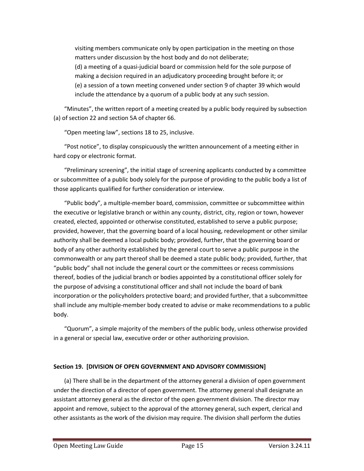visiting members communicate only by open participation in the meeting on those matters under discussion by the host body and do not deliberate; (d) a meeting of a quasi-judicial board or commission held for the sole purpose of making a decision required in an adjudicatory proceeding brought before it; or (e) a session of a town meeting convened under section 9 of chapter 39 which would include the attendance by a quorum of a public body at any such session.

"Minutes", the written report of a meeting created by a public body required by subsection (a) of section 22 and section 5A of chapter 66.

"Open meeting law", sections 18 to 25, inclusive.

"Post notice", to display conspicuously the written announcement of a meeting either in hard copy or electronic format.

"Preliminary screening", the initial stage of screening applicants conducted by a committee or subcommittee of a public body solely for the purpose of providing to the public body a list of those applicants qualified for further consideration or interview.

"Public body", a multiple-member board, commission, committee or subcommittee within the executive or legislative branch or within any county, district, city, region or town, however created, elected, appointed or otherwise constituted, established to serve a public purpose; provided, however, that the governing board of a local housing, redevelopment or other similar authority shall be deemed a local public body; provided, further, that the governing board or body of any other authority established by the general court to serve a public purpose in the commonwealth or any part thereof shall be deemed a state public body; provided, further, that "public body" shall not include the general court or the committees or recess commissions thereof, bodies of the judicial branch or bodies appointed by a constitutional officer solely for the purpose of advising a constitutional officer and shall not include the board of bank incorporation or the policyholders protective board; and provided further, that a subcommittee shall include any multiple-member body created to advise or make recommendations to a public body.

"Quorum", a simple majority of the members of the public body, unless otherwise provided in a general or special law, executive order or other authorizing provision.

## **Section 19. [DIVISION OF OPEN GOVERNMENT AND ADVISORY COMMISSION]**

(a) There shall be in the department of the attorney general a division of open government under the direction of a director of open government. The attorney general shall designate an assistant attorney general as the director of the open government division. The director may appoint and remove, subject to the approval of the attorney general, such expert, clerical and other assistants as the work of the division may require. The division shall perform the duties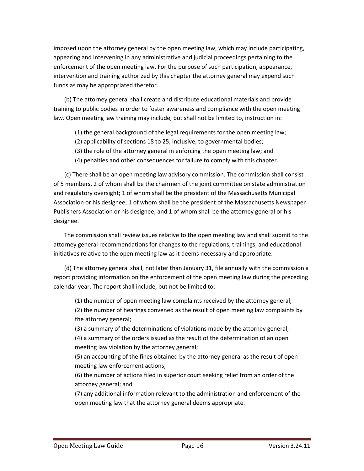imposed upon the attorney general by the open meeting law, which may include participating, appearing and intervening in any administrative and judicial proceedings pertaining to the enforcement of the open meeting law. For the purpose of such participation, appearance, intervention and training authorized by this chapter the attorney general may expend such funds as may be appropriated therefor.

(b) The attorney general shall create and distribute educational materials and provide training to public bodies in order to foster awareness and compliance with the open meeting law. Open meeting law training may include, but shall not be limited to, instruction in:

- (1) the general background of the legal requirements for the open meeting law;
- (2) applicability of sections 18 to 25, inclusive, to governmental bodies;
- (3) the role of the attorney general in enforcing the open meeting law; and
- (4) penalties and other consequences for failure to comply with this chapter.

(c) There shall be an open meeting law advisory commission. The commission shall consist of 5 members, 2 of whom shall be the chairmen of the joint committee on state administration and regulatory oversight; 1 of whom shall be the president of the Massachusetts Municipal Association or his designee; 1 of whom shall be the president of the Massachusetts Newspaper Publishers Association or his designee; and 1 of whom shall be the attorney general or his designee.

The commission shall review issues relative to the open meeting law and shall submit to the attorney general recommendations for changes to the regulations, trainings, and educational initiatives relative to the open meeting law as it deems necessary and appropriate.

(d) The attorney general shall, not later than January 31, file annually with the commission a report providing information on the enforcement of the open meeting law during the preceding calendar year. The report shall include, but not be limited to:

(1) the number of open meeting law complaints received by the attorney general;

(2) the number of hearings convened as the result of open meeting law complaints by the attorney general;

(3) a summary of the determinations of violations made by the attorney general; (4) a summary of the orders issued as the result of the determination of an open meeting law violation by the attorney general;

(5) an accounting of the fines obtained by the attorney general as the result of open meeting law enforcement actions;

(6) the number of actions filed in superior court seeking relief from an order of the attorney general; and

(7) any additional information relevant to the administration and enforcement of the open meeting law that the attorney general deems appropriate.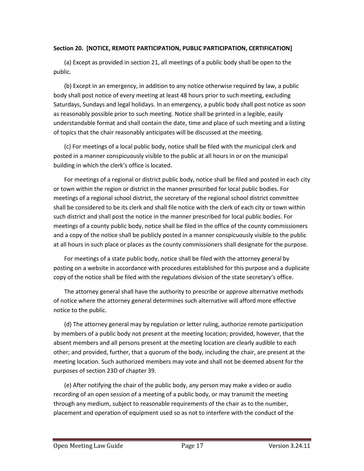#### **Section 20. [NOTICE, REMOTE PARTICIPATION, PUBLIC PARTICIPATION, CERTIFICATION]**

(a) Except as provided in section 21, all meetings of a public body shall be open to the public.

(b) Except in an emergency, in addition to any notice otherwise required by law, a public body shall post notice of every meeting at least 48 hours prior to such meeting, excluding Saturdays, Sundays and legal holidays. In an emergency, a public body shall post notice as soon as reasonably possible prior to such meeting. Notice shall be printed in a legible, easily understandable format and shall contain the date, time and place of such meeting and a listing of topics that the chair reasonably anticipates will be discussed at the meeting.

(c) For meetings of a local public body, notice shall be filed with the municipal clerk and posted in a manner conspicuously visible to the public at all hours in or on the municipal building in which the clerk's office is located.

For meetings of a regional or district public body, notice shall be filed and posted in each city or town within the region or district in the manner prescribed for local public bodies. For meetings of a regional school district, the secretary of the regional school district committee shall be considered to be its clerk and shall file notice with the clerk of each city or town within such district and shall post the notice in the manner prescribed for local public bodies. For meetings of a county public body, notice shall be filed in the office of the county commissioners and a copy of the notice shall be publicly posted in a manner conspicuously visible to the public at all hours in such place or places as the county commissioners shall designate for the purpose.

For meetings of a state public body, notice shall be filed with the attorney general by posting on a website in accordance with procedures established for this purpose and a duplicate copy of the notice shall be filed with the regulations division of the state secretary's office.

The attorney general shall have the authority to prescribe or approve alternative methods of notice where the attorney general determines such alternative will afford more effective notice to the public.

(d) The attorney general may by regulation or letter ruling, authorize remote participation by members of a public body not present at the meeting location; provided, however, that the absent members and all persons present at the meeting location are clearly audible to each other; and provided, further, that a quorum of the body, including the chair, are present at the meeting location. Such authorized members may vote and shall not be deemed absent for the purposes of section 23D of chapter 39.

(e) After notifying the chair of the public body, any person may make a video or audio recording of an open session of a meeting of a public body, or may transmit the meeting through any medium, subject to reasonable requirements of the chair as to the number, placement and operation of equipment used so as not to interfere with the conduct of the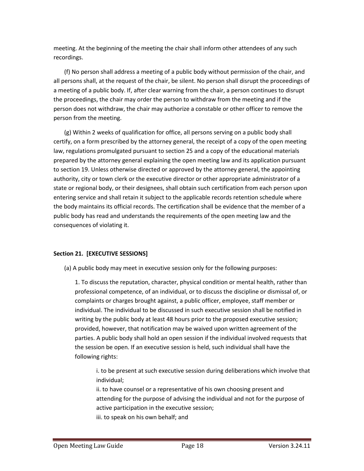meeting. At the beginning of the meeting the chair shall inform other attendees of any such recordings.

(f) No person shall address a meeting of a public body without permission of the chair, and all persons shall, at the request of the chair, be silent. No person shall disrupt the proceedings of a meeting of a public body. If, after clear warning from the chair, a person continues to disrupt the proceedings, the chair may order the person to withdraw from the meeting and if the person does not withdraw, the chair may authorize a constable or other officer to remove the person from the meeting.

(g) Within 2 weeks of qualification for office, all persons serving on a public body shall certify, on a form prescribed by the attorney general, the receipt of a copy of the open meeting law, regulations promulgated pursuant to section 25 and a copy of the educational materials prepared by the attorney general explaining the open meeting law and its application pursuant to section 19. Unless otherwise directed or approved by the attorney general, the appointing authority, city or town clerk or the executive director or other appropriate administrator of a state or regional body, or their designees, shall obtain such certification from each person upon entering service and shall retain it subject to the applicable records retention schedule where the body maintains its official records. The certification shall be evidence that the member of a public body has read and understands the requirements of the open meeting law and the consequences of violating it.

## **Section 21. [EXECUTIVE SESSIONS]**

(a) A public body may meet in executive session only for the following purposes:

1. To discuss the reputation, character, physical condition or mental health, rather than professional competence, of an individual, or to discuss the discipline or dismissal of, or complaints or charges brought against, a public officer, employee, staff member or individual. The individual to be discussed in such executive session shall be notified in writing by the public body at least 48 hours prior to the proposed executive session; provided, however, that notification may be waived upon written agreement of the parties. A public body shall hold an open session if the individual involved requests that the session be open. If an executive session is held, such individual shall have the following rights:

i. to be present at such executive session during deliberations which involve that individual;

ii. to have counsel or a representative of his own choosing present and attending for the purpose of advising the individual and not for the purpose of active participation in the executive session; iii. to speak on his own behalf; and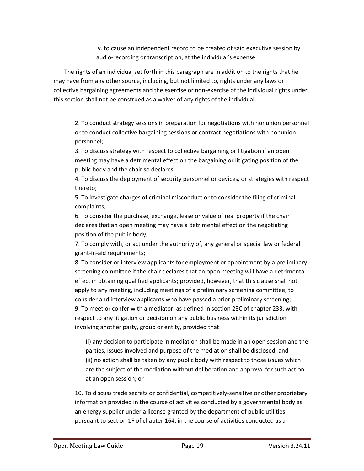iv. to cause an independent record to be created of said executive session by audio-recording or transcription, at the individual's expense.

The rights of an individual set forth in this paragraph are in addition to the rights that he may have from any other source, including, but not limited to, rights under any laws or collective bargaining agreements and the exercise or non-exercise of the individual rights under this section shall not be construed as a waiver of any rights of the individual.

2. To conduct strategy sessions in preparation for negotiations with nonunion personnel or to conduct collective bargaining sessions or contract negotiations with nonunion personnel;

3. To discuss strategy with respect to collective bargaining or litigation if an open meeting may have a detrimental effect on the bargaining or litigating position of the public body and the chair so declares;

4. To discuss the deployment of security personnel or devices, or strategies with respect thereto;

5. To investigate charges of criminal misconduct or to consider the filing of criminal complaints;

6. To consider the purchase, exchange, lease or value of real property if the chair declares that an open meeting may have a detrimental effect on the negotiating position of the public body;

7. To comply with, or act under the authority of, any general or special law or federal grant-in-aid requirements;

8. To consider or interview applicants for employment or appointment by a preliminary screening committee if the chair declares that an open meeting will have a detrimental effect in obtaining qualified applicants; provided, however, that this clause shall not apply to any meeting, including meetings of a preliminary screening committee, to consider and interview applicants who have passed a prior preliminary screening; 9. To meet or confer with a mediator, as defined in section 23C of chapter 233, with respect to any litigation or decision on any public business within its jurisdiction involving another party, group or entity, provided that:

(i) any decision to participate in mediation shall be made in an open session and the parties, issues involved and purpose of the mediation shall be disclosed; and (ii) no action shall be taken by any public body with respect to those issues which are the subject of the mediation without deliberation and approval for such action at an open session; or

10. To discuss trade secrets or confidential, competitively-sensitive or other proprietary information provided in the course of activities conducted by a governmental body as an energy supplier under a license granted by the department of public utilities pursuant to section 1F of chapter 164, in the course of activities conducted as a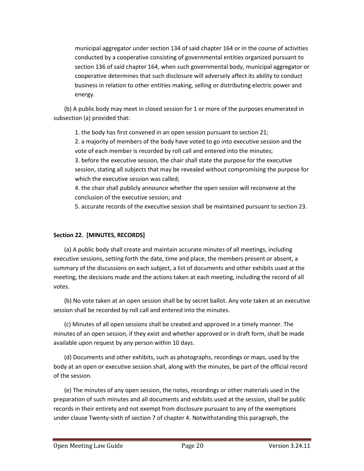municipal aggregator under section 134 of said chapter 164 or in the course of activities conducted by a cooperative consisting of governmental entities organized pursuant to section 136 of said chapter 164, when such governmental body, municipal aggregator or cooperative determines that such disclosure will adversely affect its ability to conduct business in relation to other entities making, selling or distributing electric power and energy.

(b) A public body may meet in closed session for 1 or more of the purposes enumerated in subsection (a) provided that:

1. the body has first convened in an open session pursuant to section 21;

2. a majority of members of the body have voted to go into executive session and the vote of each member is recorded by roll call and entered into the minutes;

3. before the executive session, the chair shall state the purpose for the executive session, stating all subjects that may be revealed without compromising the purpose for which the executive session was called;

4. the chair shall publicly announce whether the open session will reconvene at the conclusion of the executive session; and

5. accurate records of the executive session shall be maintained pursuant to section 23.

#### **Section 22. [MINUTES, RECORDS]**

(a) A public body shall create and maintain accurate minutes of all meetings, including executive sessions, setting forth the date, time and place, the members present or absent, a summary of the discussions on each subject, a list of documents and other exhibits used at the meeting, the decisions made and the actions taken at each meeting, including the record of all votes.

(b) No vote taken at an open session shall be by secret ballot. Any vote taken at an executive session shall be recorded by roll call and entered into the minutes.

(c) Minutes of all open sessions shall be created and approved in a timely manner. The minutes of an open session, if they exist and whether approved or in draft form, shall be made available upon request by any person within 10 days.

(d) Documents and other exhibits, such as photographs, recordings or maps, used by the body at an open or executive session shall, along with the minutes, be part of the official record of the session.

(e) The minutes of any open session, the notes, recordings or other materials used in the preparation of such minutes and all documents and exhibits used at the session, shall be public records in their entirety and not exempt from disclosure pursuant to any of the exemptions under clause Twenty-sixth of section 7 of chapter 4. Notwithstanding this paragraph, the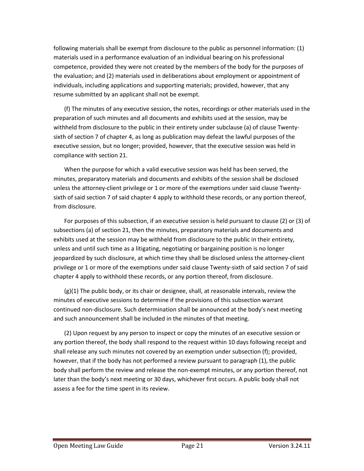following materials shall be exempt from disclosure to the public as personnel information: (1) materials used in a performance evaluation of an individual bearing on his professional competence, provided they were not created by the members of the body for the purposes of the evaluation; and (2) materials used in deliberations about employment or appointment of individuals, including applications and supporting materials; provided, however, that any resume submitted by an applicant shall not be exempt.

(f) The minutes of any executive session, the notes, recordings or other materials used in the preparation of such minutes and all documents and exhibits used at the session, may be withheld from disclosure to the public in their entirety under subclause (a) of clause Twentysixth of section 7 of chapter 4, as long as publication may defeat the lawful purposes of the executive session, but no longer; provided, however, that the executive session was held in compliance with section 21.

When the purpose for which a valid executive session was held has been served, the minutes, preparatory materials and documents and exhibits of the session shall be disclosed unless the attorney-client privilege or 1 or more of the exemptions under said clause Twentysixth of said section 7 of said chapter 4 apply to withhold these records, or any portion thereof, from disclosure.

For purposes of this subsection, if an executive session is held pursuant to clause (2) or (3) of subsections (a) of section 21, then the minutes, preparatory materials and documents and exhibits used at the session may be withheld from disclosure to the public in their entirety, unless and until such time as a litigating, negotiating or bargaining position is no longer jeopardized by such disclosure, at which time they shall be disclosed unless the attorney-client privilege or 1 or more of the exemptions under said clause Twenty-sixth of said section 7 of said chapter 4 apply to withhold these records, or any portion thereof, from disclosure.

(g)(1) The public body, or its chair or designee, shall, at reasonable intervals, review the minutes of executive sessions to determine if the provisions of this subsection warrant continued non-disclosure. Such determination shall be announced at the body's next meeting and such announcement shall be included in the minutes of that meeting.

(2) Upon request by any person to inspect or copy the minutes of an executive session or any portion thereof, the body shall respond to the request within 10 days following receipt and shall release any such minutes not covered by an exemption under subsection (f); provided, however, that if the body has not performed a review pursuant to paragraph (1), the public body shall perform the review and release the non-exempt minutes, or any portion thereof, not later than the body's next meeting or 30 days, whichever first occurs. A public body shall not assess a fee for the time spent in its review.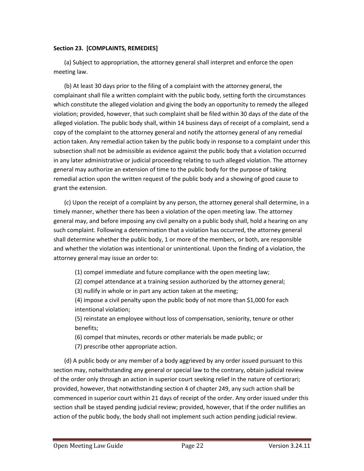#### **Section 23. [COMPLAINTS, REMEDIES]**

(a) Subject to appropriation, the attorney general shall interpret and enforce the open meeting law.

(b) At least 30 days prior to the filing of a complaint with the attorney general, the complainant shall file a written complaint with the public body, setting forth the circumstances which constitute the alleged violation and giving the body an opportunity to remedy the alleged violation; provided, however, that such complaint shall be filed within 30 days of the date of the alleged violation. The public body shall, within 14 business days of receipt of a complaint, send a copy of the complaint to the attorney general and notify the attorney general of any remedial action taken. Any remedial action taken by the public body in response to a complaint under this subsection shall not be admissible as evidence against the public body that a violation occurred in any later administrative or judicial proceeding relating to such alleged violation. The attorney general may authorize an extension of time to the public body for the purpose of taking remedial action upon the written request of the public body and a showing of good cause to grant the extension.

(c) Upon the receipt of a complaint by any person, the attorney general shall determine, in a timely manner, whether there has been a violation of the open meeting law. The attorney general may, and before imposing any civil penalty on a public body shall, hold a hearing on any such complaint. Following a determination that a violation has occurred, the attorney general shall determine whether the public body, 1 or more of the members, or both, are responsible and whether the violation was intentional or unintentional. Upon the finding of a violation, the attorney general may issue an order to:

(1) compel immediate and future compliance with the open meeting law;

(2) compel attendance at a training session authorized by the attorney general;

(3) nullify in whole or in part any action taken at the meeting;

(4) impose a civil penalty upon the public body of not more than \$1,000 for each intentional violation;

(5) reinstate an employee without loss of compensation, seniority, tenure or other benefits;

(6) compel that minutes, records or other materials be made public; or

(7) prescribe other appropriate action.

(d) A public body or any member of a body aggrieved by any order issued pursuant to this section may, notwithstanding any general or special law to the contrary, obtain judicial review of the order only through an action in superior court seeking relief in the nature of certiorari; provided, however, that notwithstanding section 4 of chapter 249, any such action shall be commenced in superior court within 21 days of receipt of the order. Any order issued under this section shall be stayed pending judicial review; provided, however, that if the order nullifies an action of the public body, the body shall not implement such action pending judicial review.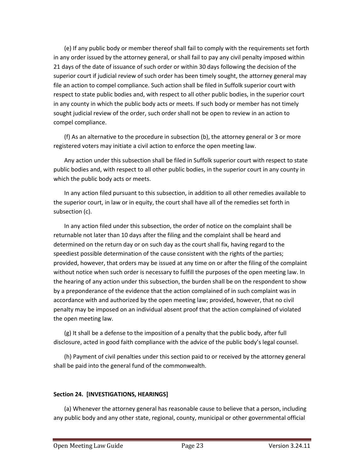(e) If any public body or member thereof shall fail to comply with the requirements set forth in any order issued by the attorney general, or shall fail to pay any civil penalty imposed within 21 days of the date of issuance of such order or within 30 days following the decision of the superior court if judicial review of such order has been timely sought, the attorney general may file an action to compel compliance. Such action shall be filed in Suffolk superior court with respect to state public bodies and, with respect to all other public bodies, in the superior court in any county in which the public body acts or meets. If such body or member has not timely sought judicial review of the order, such order shall not be open to review in an action to compel compliance.

(f) As an alternative to the procedure in subsection (b), the attorney general or 3 or more registered voters may initiate a civil action to enforce the open meeting law.

Any action under this subsection shall be filed in Suffolk superior court with respect to state public bodies and, with respect to all other public bodies, in the superior court in any county in which the public body acts or meets.

In any action filed pursuant to this subsection, in addition to all other remedies available to the superior court, in law or in equity, the court shall have all of the remedies set forth in subsection (c).

In any action filed under this subsection, the order of notice on the complaint shall be returnable not later than 10 days after the filing and the complaint shall be heard and determined on the return day or on such day as the court shall fix, having regard to the speediest possible determination of the cause consistent with the rights of the parties; provided, however, that orders may be issued at any time on or after the filing of the complaint without notice when such order is necessary to fulfill the purposes of the open meeting law. In the hearing of any action under this subsection, the burden shall be on the respondent to show by a preponderance of the evidence that the action complained of in such complaint was in accordance with and authorized by the open meeting law; provided, however, that no civil penalty may be imposed on an individual absent proof that the action complained of violated the open meeting law.

(g) It shall be a defense to the imposition of a penalty that the public body, after full disclosure, acted in good faith compliance with the advice of the public body's legal counsel.

(h) Payment of civil penalties under this section paid to or received by the attorney general shall be paid into the general fund of the commonwealth.

## **Section 24. [INVESTIGATIONS, HEARINGS]**

(a) Whenever the attorney general has reasonable cause to believe that a person, including any public body and any other state, regional, county, municipal or other governmental official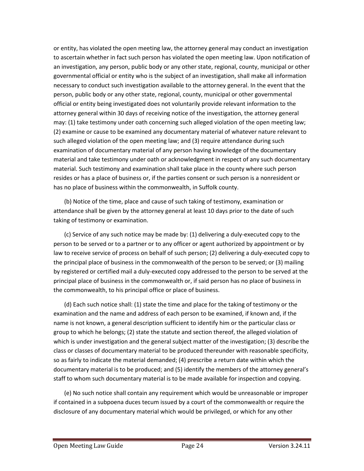or entity, has violated the open meeting law, the attorney general may conduct an investigation to ascertain whether in fact such person has violated the open meeting law. Upon notification of an investigation, any person, public body or any other state, regional, county, municipal or other governmental official or entity who is the subject of an investigation, shall make all information necessary to conduct such investigation available to the attorney general. In the event that the person, public body or any other state, regional, county, municipal or other governmental official or entity being investigated does not voluntarily provide relevant information to the attorney general within 30 days of receiving notice of the investigation, the attorney general may: (1) take testimony under oath concerning such alleged violation of the open meeting law; (2) examine or cause to be examined any documentary material of whatever nature relevant to such alleged violation of the open meeting law; and (3) require attendance during such examination of documentary material of any person having knowledge of the documentary material and take testimony under oath or acknowledgment in respect of any such documentary material. Such testimony and examination shall take place in the county where such person resides or has a place of business or, if the parties consent or such person is a nonresident or has no place of business within the commonwealth, in Suffolk county.

(b) Notice of the time, place and cause of such taking of testimony, examination or attendance shall be given by the attorney general at least 10 days prior to the date of such taking of testimony or examination.

(c) Service of any such notice may be made by: (1) delivering a duly-executed copy to the person to be served or to a partner or to any officer or agent authorized by appointment or by law to receive service of process on behalf of such person; (2) delivering a duly-executed copy to the principal place of business in the commonwealth of the person to be served; or (3) mailing by registered or certified mail a duly-executed copy addressed to the person to be served at the principal place of business in the commonwealth or, if said person has no place of business in the commonwealth, to his principal office or place of business.

(d) Each such notice shall: (1) state the time and place for the taking of testimony or the examination and the name and address of each person to be examined, if known and, if the name is not known, a general description sufficient to identify him or the particular class or group to which he belongs; (2) state the statute and section thereof, the alleged violation of which is under investigation and the general subject matter of the investigation; (3) describe the class or classes of documentary material to be produced thereunder with reasonable specificity, so as fairly to indicate the material demanded; (4) prescribe a return date within which the documentary material is to be produced; and (5) identify the members of the attorney general's staff to whom such documentary material is to be made available for inspection and copying.

(e) No such notice shall contain any requirement which would be unreasonable or improper if contained in a subpoena duces tecum issued by a court of the commonwealth or require the disclosure of any documentary material which would be privileged, or which for any other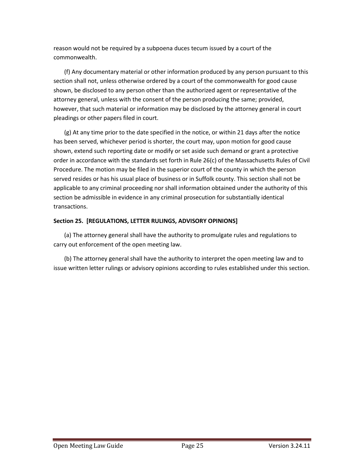reason would not be required by a subpoena duces tecum issued by a court of the commonwealth.

(f) Any documentary material or other information produced by any person pursuant to this section shall not, unless otherwise ordered by a court of the commonwealth for good cause shown, be disclosed to any person other than the authorized agent or representative of the attorney general, unless with the consent of the person producing the same; provided, however, that such material or information may be disclosed by the attorney general in court pleadings or other papers filed in court.

(g) At any time prior to the date specified in the notice, or within 21 days after the notice has been served, whichever period is shorter, the court may, upon motion for good cause shown, extend such reporting date or modify or set aside such demand or grant a protective order in accordance with the standards set forth in Rule 26(c) of the Massachusetts Rules of Civil Procedure. The motion may be filed in the superior court of the county in which the person served resides or has his usual place of business or in Suffolk county. This section shall not be applicable to any criminal proceeding nor shall information obtained under the authority of this section be admissible in evidence in any criminal prosecution for substantially identical transactions.

# **Section 25. [REGULATIONS, LETTER RULINGS, ADVISORY OPINIONS]**

(a) The attorney general shall have the authority to promulgate rules and regulations to carry out enforcement of the open meeting law.

(b) The attorney general shall have the authority to interpret the open meeting law and to issue written letter rulings or advisory opinions according to rules established under this section.